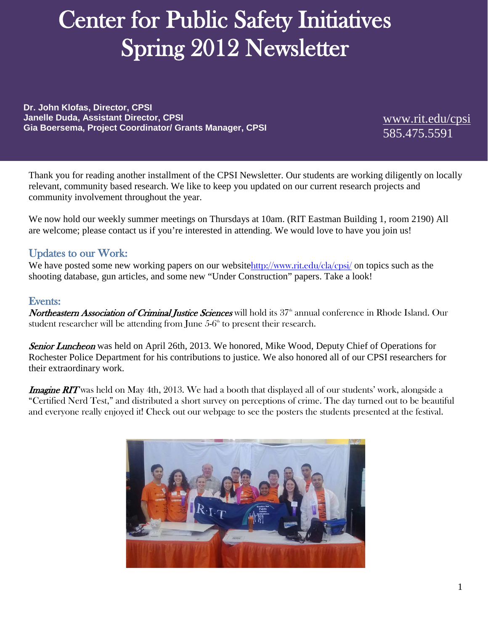# Center for Public Safety Initiatives Spring 2012 Newsletter

**Dr. John Klofas, Director, CPSI Janelle Duda, Assistant Director, CPSI Gia Boersema, Project Coordinator/ Grants Manager, CPSI** [www.rit.edu/cpsi](http://www.rit.edu/cpsi)

585.475.5591

Thank you for reading another installment of the CPSI Newsletter. Our students are working diligently on locally relevant, community based research. We like to keep you updated on our current research projects and community involvement throughout the year.

We now hold our weekly summer meetings on Thursdays at 10am. (RIT Eastman Building 1, room 2190) All are welcome; please contact us if you're interested in attending. We would love to have you join us!

## Updates to our Work:

We have posted some new working papers on our website<http://www.rit.edu/cla/cpsi/> on topics such as the shooting database, gun articles, and some new "Under Construction" papers. Take a look!

## Events:

Northeastern Association of Criminal Justice Sciences will hold its 37<sup>th</sup> annual conference in Rhode Island. Our student researcher will be attending from June  $5{\text -}6^{\text{th}}$  to present their research.

Senior Luncheon was held on April 26th, 2013. We honored, Mike Wood, Deputy Chief of Operations for Rochester Police Department for his contributions to justice. We also honored all of our CPSI researchers for their extraordinary work.

Imagine RIT was held on May 4th, 2013. We had a booth that displayed all of our students' work, alongside a "Certified Nerd Test," and distributed a short survey on perceptions of crime. The day turned out to be beautiful and everyone really enjoyed it! Check out our webpage to see the posters the students presented at the festival.

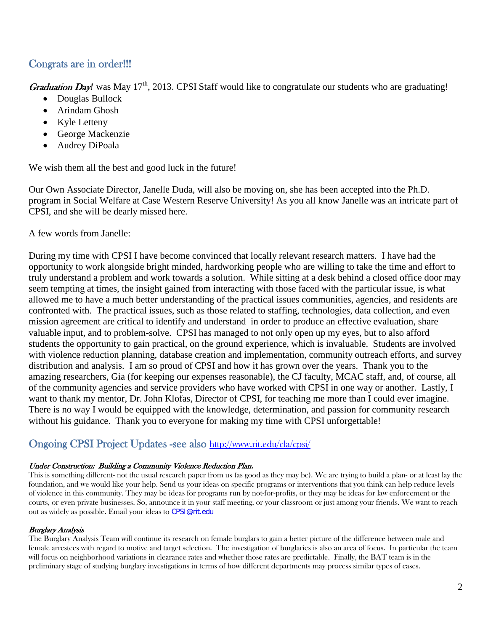# Congrats are in order!!!

Graduation Day! was May 17<sup>th</sup>, 2013. CPSI Staff would like to congratulate our students who are graduating!

- Douglas Bullock
- Arindam Ghosh
- Kyle Letteny
- George Mackenzie
- Audrey DiPoala

We wish them all the best and good luck in the future!

Our Own Associate Director, Janelle Duda, will also be moving on, she has been accepted into the Ph.D. program in Social Welfare at Case Western Reserve University! As you all know Janelle was an intricate part of CPSI, and she will be dearly missed here.

A few words from Janelle:

During my time with CPSI I have become convinced that locally relevant research matters. I have had the opportunity to work alongside bright minded, hardworking people who are willing to take the time and effort to truly understand a problem and work towards a solution. While sitting at a desk behind a closed office door may seem tempting at times, the insight gained from interacting with those faced with the particular issue, is what allowed me to have a much better understanding of the practical issues communities, agencies, and residents are confronted with. The practical issues, such as those related to staffing, technologies, data collection, and even mission agreement are critical to identify and understand in order to produce an effective evaluation, share valuable input, and to problem-solve. CPSI has managed to not only open up my eyes, but to also afford students the opportunity to gain practical, on the ground experience, which is invaluable. Students are involved with violence reduction planning, database creation and implementation, community outreach efforts, and survey distribution and analysis. I am so proud of CPSI and how it has grown over the years. Thank you to the amazing researchers, Gia (for keeping our expenses reasonable), the CJ faculty, MCAC staff, and, of course, all of the community agencies and service providers who have worked with CPSI in one way or another. Lastly, I want to thank my mentor, Dr. John Klofas, Director of CPSI, for teaching me more than I could ever imagine. There is no way I would be equipped with the knowledge, determination, and passion for community research without his guidance. Thank you to everyone for making my time with CPSI unforgettable!

## Ongoing CPSI Project Updates -see also<http://www.rit.edu/cla/cpsi/>

#### Under Construction: Building a Community Violence Reduction Plan.

This is something different- not the usual research paper from us (as good as they may be). We are trying to build a plan- or at least lay the foundation, and we would like your help. Send us your ideas on specific programs or interventions that you think can help reduce levels of violence in this community. They may be ideas for programs run by not-for-profits, or they may be ideas for law enforcement or the courts, or even private businesses. So, announce it in your staff meeting, or your classroom or just among your friends. We want to reach out as widely as possible. Email your ideas to [CPSI@rit.edu](mailto:cpsi@rit.edu)

#### Burglary Analysis

The Burglary Analysis Team will continue its research on female burglars to gain a better picture of the difference between male and female arrestees with regard to motive and target selection. The investigation of burglaries is also an area of focus. In particular the team will focus on neighborhood variations in clearance rates and whether those rates are predictable. Finally, the BAT team is in the preliminary stage of studying burglary investigations in terms of how different departments may process similar types of cases.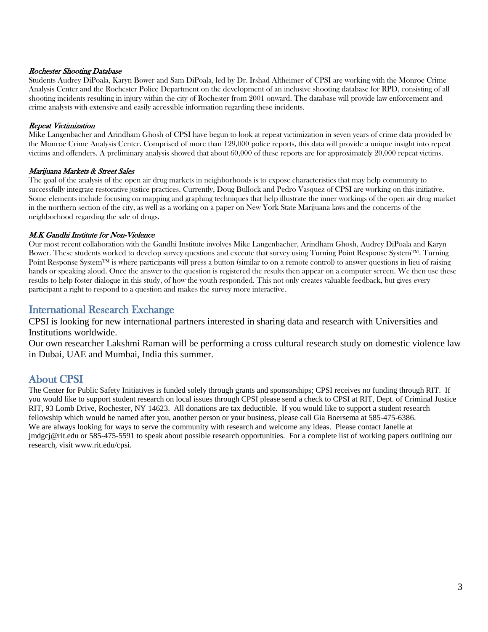#### Rochester Shooting Database

Students Audrey DiPoala, Karyn Bower and Sam DiPoala, led by Dr. Irshad Altheimer of CPSI are working with the Monroe Crime Analysis Center and the Rochester Police Department on the development of an inclusive shooting database for RPD, consisting of all shooting incidents resulting in injury within the city of Rochester from 2001 onward. The database will provide law enforcement and crime analysts with extensive and easily accessible information regarding these incidents.

#### Repeat Victimization

Mike Langenbacher and Arindham Ghosh of CPSI have begun to look at repeat victimization in seven years of crime data provided by the Monroe Crime Analysis Center. Comprised of more than 129,000 police reports, this data will provide a unique insight into repeat victims and offenders. A preliminary analysis showed that about 60,000 of these reports are for approximately 20,000 repeat victims.

#### Marijuana Markets & Street Sales

The goal of the analysis of the open air drug markets in neighborhoods is to expose characteristics that may help community to successfully integrate restorative justice practices. Currently, Doug Bullock and Pedro Vasquez of CPSI are working on this initiative. Some elements include focusing on mapping and graphing techniques that help illustrate the inner workings of the open air drug market in the northern section of the city, as well as a working on a paper on New York State Marijuana laws and the concerns of the neighborhood regarding the sale of drugs.

#### M.K Gandhi Institute for Non-Violence

Our most recent collaboration with the Gandhi Institute involves Mike Langenbacher, Arindham Ghosh, Audrey DiPoala and Karyn Bower. These students worked to develop survey questions and execute that survey using Turning Point Response System™. Turning Point Response System™ is where participants will press a button (similar to on a remote control) to answer questions in lieu of raising hands or speaking aloud. Once the answer to the question is registered the results then appear on a computer screen. We then use these results to help foster dialogue in this study, of how the youth responded. This not only creates valuable feedback, but gives every participant a right to respond to a question and makes the survey more interactive.

## International Research Exchange

CPSI is looking for new international partners interested in sharing data and research with Universities and Institutions worldwide.

Our own researcher Lakshmi Raman will be performing a cross cultural research study on domestic violence law in Dubai, UAE and Mumbai, India this summer.

## About CPSI

The Center for Public Safety Initiatives is funded solely through grants and sponsorships; CPSI receives no funding through RIT. If you would like to support student research on local issues through CPSI please send a check to CPSI at RIT, Dept. of Criminal Justice RIT, 93 Lomb Drive, Rochester, NY 14623. All donations are tax deductible. If you would like to support a student research fellowship which would be named after you, another person or your business, please call Gia Boersema at 585-475-6386. We are always looking for ways to serve the community with research and welcome any ideas. Please contact Janelle at jmdgcj@rit.edu or 585-475-5591 to speak about possible research opportunities. For a complete list of working papers outlining our research, visit www.rit.edu/cpsi.